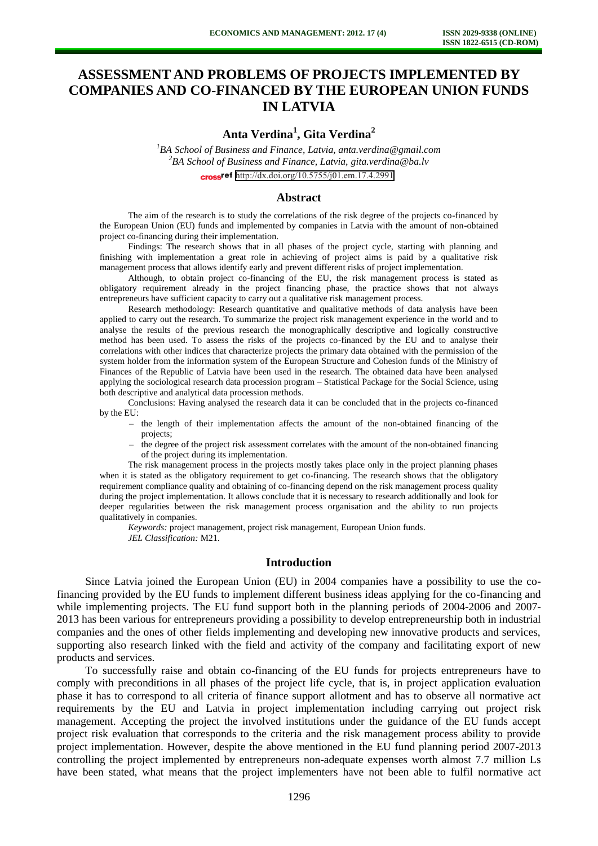# **ASSESSMENT AND PROBLEMS OF PROJECTS IMPLEMENTED BY COMPANIES AND CO-FINANCED BY THE EUROPEAN UNION FUNDS IN LATVIA**

## **Anta Verdina<sup>1</sup> , Gita Verdina<sup>2</sup>**

*<sup>1</sup>BA School of Business and Finance, Latvia, anta.verdina@gmail.com <sup>2</sup>BA School of Business and Finance, Latvia, gita.verdina@ba.lv*  cross<sup>ref</sup> <http://dx.doi.org/10.5755/j01.em.17.4.2991>

#### **Abstract**

The aim of the research is to study the correlations of the risk degree of the projects co-financed by the European Union (EU) funds and implemented by companies in Latvia with the amount of non-obtained project co-financing during their implementation.

Findings: The research shows that in all phases of the project cycle, starting with planning and finishing with implementation a great role in achieving of project aims is paid by a qualitative risk management process that allows identify early and prevent different risks of project implementation.

Although, to obtain project co-financing of the EU, the risk management process is stated as obligatory requirement already in the project financing phase, the practice shows that not always entrepreneurs have sufficient capacity to carry out a qualitative risk management process.

Research methodology: Research quantitative and qualitative methods of data analysis have been applied to carry out the research. To summarize the project risk management experience in the world and to analyse the results of the previous research the monographically descriptive and logically constructive method has been used. To assess the risks of the projects co-financed by the EU and to analyse their correlations with other indices that characterize projects the primary data obtained with the permission of the system holder from the information system of the European Structure and Cohesion funds of the Ministry of Finances of the Republic of Latvia have been used in the research. The obtained data have been analysed applying the sociological research data procession program – Statistical Package for the Social Science, using both descriptive and analytical data procession methods.

Conclusions: Having analysed the research data it can be concluded that in the projects co-financed by the EU:

- the length of their implementation affects the amount of the non-obtained financing of the projects;
- the degree of the project risk assessment correlates with the amount of the non-obtained financing of the project during its implementation.

The risk management process in the projects mostly takes place only in the project planning phases when it is stated as the obligatory requirement to get co-financing. The research shows that the obligatory requirement compliance quality and obtaining of co-financing depend on the risk management process quality during the project implementation. It allows conclude that it is necessary to research additionally and look for deeper regularities between the risk management process organisation and the ability to run projects qualitatively in companies.

*Keywords:* project management, project risk management, European Union funds. *JEL Classification:* M21.

#### **Introduction**

Since Latvia joined the European Union (EU) in 2004 companies have a possibility to use the cofinancing provided by the EU funds to implement different business ideas applying for the co-financing and while implementing projects. The EU fund support both in the planning periods of 2004-2006 and 2007- 2013 has been various for entrepreneurs providing a possibility to develop entrepreneurship both in industrial companies and the ones of other fields implementing and developing new innovative products and services, supporting also research linked with the field and activity of the company and facilitating export of new products and services.

To successfully raise and obtain co-financing of the EU funds for projects entrepreneurs have to comply with preconditions in all phases of the project life cycle, that is, in project application evaluation phase it has to correspond to all criteria of finance support allotment and has to observe all normative act requirements by the EU and Latvia in project implementation including carrying out project risk management. Accepting the project the involved institutions under the guidance of the EU funds accept project risk evaluation that corresponds to the criteria and the risk management process ability to provide project implementation. However, despite the above mentioned in the EU fund planning period 2007-2013 controlling the project implemented by entrepreneurs non-adequate expenses worth almost 7.7 million Ls have been stated, what means that the project implementers have not been able to fulfil normative act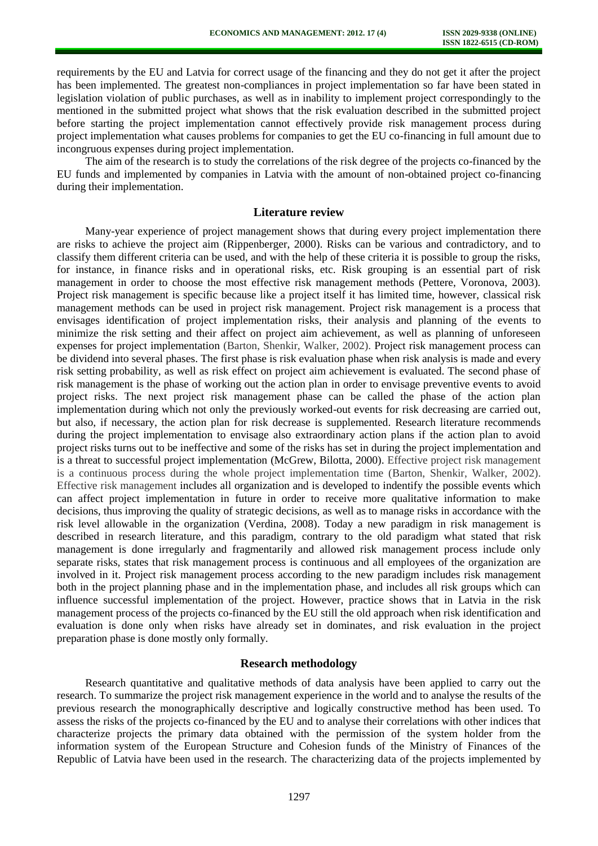requirements by the EU and Latvia for correct usage of the financing and they do not get it after the project has been implemented. The greatest non-compliances in project implementation so far have been stated in legislation violation of public purchases, as well as in inability to implement project correspondingly to the mentioned in the submitted project what shows that the risk evaluation described in the submitted project before starting the project implementation cannot effectively provide risk management process during project implementation what causes problems for companies to get the EU co-financing in full amount due to incongruous expenses during project implementation.

The aim of the research is to study the correlations of the risk degree of the projects co-financed by the EU funds and implemented by companies in Latvia with the amount of non-obtained project co-financing during their implementation.

#### **Literature review**

Many-year experience of project management shows that during every project implementation there are risks to achieve the project aim (Rippenberger, 2000). Risks can be various and contradictory, and to classify them different criteria can be used, and with the help of these criteria it is possible to group the risks, for instance, in finance risks and in operational risks, etc. Risk grouping is an essential part of risk management in order to choose the most effective risk management methods (Pettere, Voronova, 2003). Project risk management is specific because like a project itself it has limited time, however, classical risk management methods can be used in project risk management. Project risk management is a process that envisages identification of project implementation risks, their analysis and planning of the events to minimize the risk setting and their affect on project aim achievement, as well as planning of unforeseen expenses for project implementation (Barton, Shenkir, Walker, 2002). Project risk management process can be dividend into several phases. The first phase is risk evaluation phase when risk analysis is made and every risk setting probability, as well as risk effect on project aim achievement is evaluated. The second phase of risk management is the phase of working out the action plan in order to envisage preventive events to avoid project risks. The next project risk management phase can be called the phase of the action plan implementation during which not only the previously worked-out events for risk decreasing are carried out, but also, if necessary, the action plan for risk decrease is supplemented. Research literature recommends during the project implementation to envisage also extraordinary action plans if the action plan to avoid project risks turns out to be ineffective and some of the risks has set in during the project implementation and is a threat to successful project implementation (McGrew, Bilotta, 2000). Effective project risk management is a continuous process during the whole project implementation time (Barton, Shenkir, Walker, 2002). Effective risk management includes all organization and is developed to indentify the possible events which can affect project implementation in future in order to receive more qualitative information to make decisions, thus improving the quality of strategic decisions, as well as to manage risks in accordance with the risk level allowable in the organization (Verdina, 2008). Today a new paradigm in risk management is described in research literature, and this paradigm, contrary to the old paradigm what stated that risk management is done irregularly and fragmentarily and allowed risk management process include only separate risks, states that risk management process is continuous and all employees of the organization are involved in it. Project risk management process according to the new paradigm includes risk management both in the project planning phase and in the implementation phase, and includes all risk groups which can influence successful implementation of the project. However, practice shows that in Latvia in the risk management process of the projects co-financed by the EU still the old approach when risk identification and evaluation is done only when risks have already set in dominates, and risk evaluation in the project preparation phase is done mostly only formally.

### **Research methodology**

Research quantitative and qualitative methods of data analysis have been applied to carry out the research. To summarize the project risk management experience in the world and to analyse the results of the previous research the monographically descriptive and logically constructive method has been used. To assess the risks of the projects co-financed by the EU and to analyse their correlations with other indices that characterize projects the primary data obtained with the permission of the system holder from the information system of the European Structure and Cohesion funds of the Ministry of Finances of the Republic of Latvia have been used in the research. The characterizing data of the projects implemented by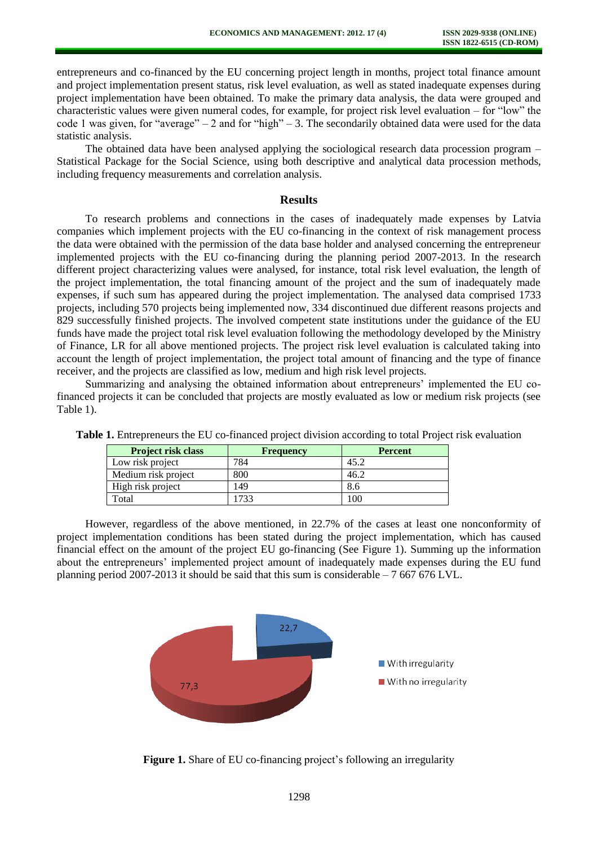entrepreneurs and co-financed by the EU concerning project length in months, project total finance amount and project implementation present status, risk level evaluation, as well as stated inadequate expenses during project implementation have been obtained. To make the primary data analysis, the data were grouped and characteristic values were given numeral codes, for example, for project risk level evaluation – for "low" the code 1 was given, for "average" – 2 and for "high" – 3. The secondarily obtained data were used for the data statistic analysis.

The obtained data have been analysed applying the sociological research data procession program – Statistical Package for the Social Science, using both descriptive and analytical data procession methods, including frequency measurements and correlation analysis.

#### **Results**

To research problems and connections in the cases of inadequately made expenses by Latvia companies which implement projects with the EU co-financing in the context of risk management process the data were obtained with the permission of the data base holder and analysed concerning the entrepreneur implemented projects with the EU co-financing during the planning period 2007-2013. In the research different project characterizing values were analysed, for instance, total risk level evaluation, the length of the project implementation, the total financing amount of the project and the sum of inadequately made expenses, if such sum has appeared during the project implementation. The analysed data comprised 1733 projects, including 570 projects being implemented now, 334 discontinued due different reasons projects and 829 successfully finished projects. The involved competent state institutions under the guidance of the EU funds have made the project total risk level evaluation following the methodology developed by the Ministry of Finance, LR for all above mentioned projects. The project risk level evaluation is calculated taking into account the length of project implementation, the project total amount of financing and the type of finance receiver, and the projects are classified as low, medium and high risk level projects.

Summarizing and analysing the obtained information about entrepreneurs' implemented the EU cofinanced projects it can be concluded that projects are mostly evaluated as low or medium risk projects (see Table 1).

| <b>Project risk class</b> | <b>Frequency</b> | <b>Percent</b> |
|---------------------------|------------------|----------------|
| Low risk project          | 784              | 45.2           |
| Medium risk project       | 800              | 46.2           |
| High risk project         | 149              | 8.6            |
| Total                     | 733              | 100            |

**Table 1.** Entrepreneurs the EU co-financed project division according to total Project risk evaluation

However, regardless of the above mentioned, in 22.7% of the cases at least one nonconformity of project implementation conditions has been stated during the project implementation, which has caused financial effect on the amount of the project EU go-financing (See Figure 1). Summing up the information about the entrepreneurs' implemented project amount of inadequately made expenses during the EU fund planning period 2007-2013 it should be said that this sum is considerable  $-7667676$  LVL.



**Figure 1.** Share of EU co-financing project's following an irregularity